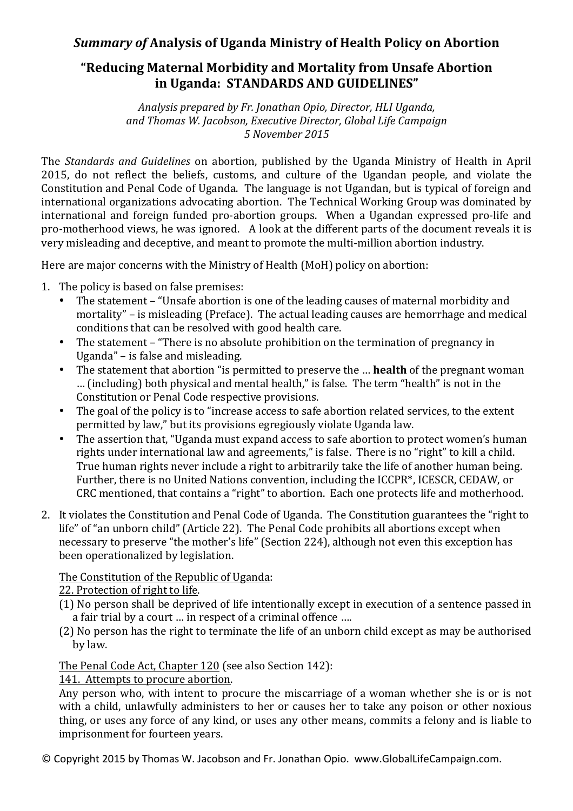## **Summary of Analysis of Uganda Ministry of Health Policy on Abortion**

# **"Reducing Maternal Morbidity and Mortality from Unsafe Abortion** in Uganda: STANDARDS AND GUIDELINES"

Analysis prepared by Fr. Jonathan Opio, Director, HLI Uganda, *and Thomas W. Jacobson, Executive Director, Global Life Campaign 5 November 2015*

The *Standards and Guidelines* on abortion, published by the Uganda Ministry of Health in April 2015, do not reflect the beliefs, customs, and culture of the Ugandan people, and violate the Constitution and Penal Code of Uganda. The language is not Ugandan, but is typical of foreign and international organizations advocating abortion. The Technical Working Group was dominated by international and foreign funded pro-abortion groups. When a Ugandan expressed pro-life and pro-motherhood views, he was ignored. A look at the different parts of the document reveals it is very misleading and deceptive, and meant to promote the multi-million abortion industry.

Here are major concerns with the Ministry of Health (MoH) policy on abortion:

- 1. The policy is based on false premises:
	- The statement "Unsafe abortion is one of the leading causes of maternal morbidity and mortality" – is misleading (Preface). The actual leading causes are hemorrhage and medical conditions that can be resolved with good health care.
	- The statement "There is no absolute prohibition on the termination of pregnancy in Uganda"  $-$  is false and misleading.
	- The statement that abortion "is permitted to preserve the ... **health** of the pregnant woman ... (including) both physical and mental health," is false. The term "health" is not in the Constitution or Penal Code respective provisions.
	- The goal of the policy is to "increase access to safe abortion related services, to the extent permitted by law," but its provisions egregiously violate Uganda law.
	- The assertion that, "Uganda must expand access to safe abortion to protect women's human rights under international law and agreements," is false. There is no "right" to kill a child. True human rights never include a right to arbitrarily take the life of another human being. Further, there is no United Nations convention, including the ICCPR<sup>\*</sup>, ICESCR, CEDAW, or CRC mentioned, that contains a "right" to abortion. Each one protects life and motherhood.
- 2. It violates the Constitution and Penal Code of Uganda. The Constitution guarantees the "right to life" of "an unborn child" (Article 22). The Penal Code prohibits all abortions except when necessary to preserve "the mother's life" (Section 224), although not even this exception has been operationalized by legislation.

### The Constitution of the Republic of Uganda:

22. Protection of right to life.

- (1) No person shall be deprived of life intentionally except in execution of a sentence passed in a fair trial by a court ... in respect of a criminal offence ....
- (2) No person has the right to terminate the life of an unborn child except as may be authorised by law.

#### The Penal Code Act, Chapter 120 (see also Section 142):

141. Attempts to procure abortion.

Any person who, with intent to procure the miscarriage of a woman whether she is or is not with a child, unlawfully administers to her or causes her to take any poison or other noxious thing, or uses any force of any kind, or uses any other means, commits a felony and is liable to imprisonment for fourteen years.

© Copyright 2015 by Thomas W. Jacobson and Fr. Jonathan Opio. www.GlobalLifeCampaign.com.